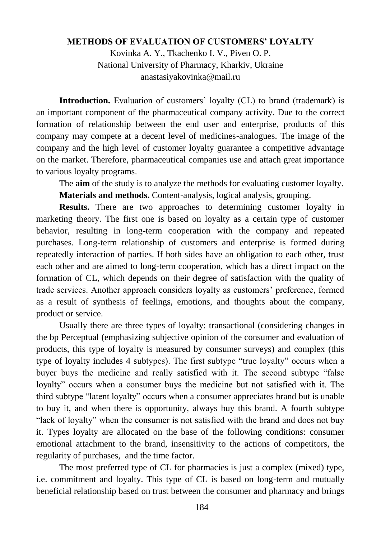## **METHODS OF EVALUATION OF CUSTOMERS' LOYALTY**

Kovinka A. Y., Tkachenko I. V., Piven O. P. National University of Pharmacy, Kharkiv, Ukraine anastasiyakovinka@mail.ru

**Introduction.** Evaluation of customers' loyalty (CL) to brand (trademark) is an important component of the pharmaceutical company activity. Due to the correct formation of relationship between the end user and enterprise, products of this company may compete at a decent level of medicines-analogues. The image of the company and the high level of customer loyalty guarantee a competitive advantage on the market. Therefore, pharmaceutical companies use and attach great importance to various loyalty programs.

The **aim** of the study is to analyze the methods for evaluating customer loyalty.

**Materials and methods.** Content-analysis, logical analysis, grouping.

**Results.** There are two approaches to determining customer loyalty in marketing theory. The first one is based on loyalty as a certain type of customer behavior, resulting in long-term cooperation with the company and repeated purchases. Long-term relationship of customers and enterprise is formed during repeatedly interaction of parties. If both sides have an obligation to each other, trust each other and are aimed to long-term cooperation, which has a direct impact on the formation of CL, which depends on their degree of satisfaction with the quality of trade services. Another approach considers loyalty as customers' preference, formed as a result of synthesis of feelings, emotions, and thoughts about the company, product or service.

Usually there are three types of loyalty: transactional (considering changes in the bp Perceptual (emphasizing subjective opinion of the consumer and evaluation of products, this type of loyalty is measured by consumer surveys) and complex (this type of loyalty includes 4 subtypes). The first subtype "true loyalty" occurs when a buyer buys the medicine and really satisfied with it. The second subtype "false" loyalty" occurs when a consumer buys the medicine but not satisfied with it. The third subtype "latent loyalty" occurs when a consumer appreciates brand but is unable to buy it, and when there is opportunity, always buy this brand. A fourth subtype "lack of loyalty" when the consumer is not satisfied with the brand and does not buy it. Types loyalty are allocated on the base of the following conditions: consumer emotional attachment to the brand, insensitivity to the actions of competitors, the regularity of purchases, and the time factor.

The most preferred type of CL for pharmacies is just a complex (mixed) type, i.e. commitment and loyalty. This type of CL is based on long-term and mutually beneficial relationship based on trust between the consumer and pharmacy and brings